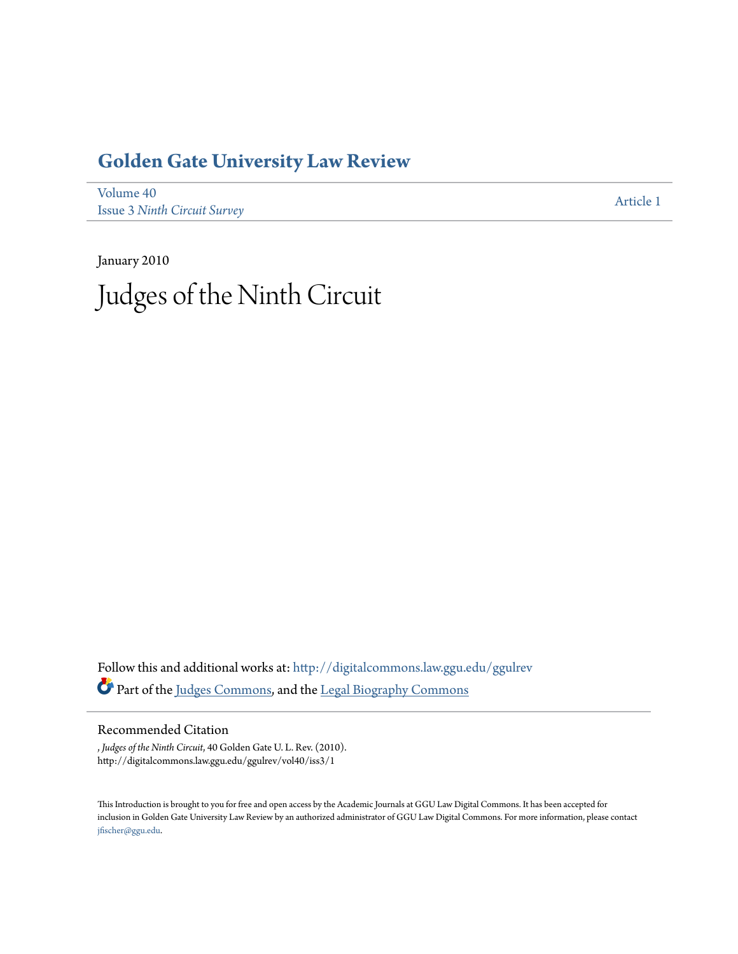# **[Golden Gate University Law Review](http://digitalcommons.law.ggu.edu/ggulrev?utm_source=digitalcommons.law.ggu.edu%2Fggulrev%2Fvol40%2Fiss3%2F1&utm_medium=PDF&utm_campaign=PDFCoverPages)**

[Volume 40](http://digitalcommons.law.ggu.edu/ggulrev/vol40?utm_source=digitalcommons.law.ggu.edu%2Fggulrev%2Fvol40%2Fiss3%2F1&utm_medium=PDF&utm_campaign=PDFCoverPages) Issue 3 *[Ninth Circuit Survey](http://digitalcommons.law.ggu.edu/ggulrev/vol40/iss3?utm_source=digitalcommons.law.ggu.edu%2Fggulrev%2Fvol40%2Fiss3%2F1&utm_medium=PDF&utm_campaign=PDFCoverPages)*

[Article 1](http://digitalcommons.law.ggu.edu/ggulrev/vol40/iss3/1?utm_source=digitalcommons.law.ggu.edu%2Fggulrev%2Fvol40%2Fiss3%2F1&utm_medium=PDF&utm_campaign=PDFCoverPages)

January 2010 Judges of the Ninth Circuit

Follow this and additional works at: [http://digitalcommons.law.ggu.edu/ggulrev](http://digitalcommons.law.ggu.edu/ggulrev?utm_source=digitalcommons.law.ggu.edu%2Fggulrev%2Fvol40%2Fiss3%2F1&utm_medium=PDF&utm_campaign=PDFCoverPages) Part of the [Judges Commons](http://network.bepress.com/hgg/discipline/849?utm_source=digitalcommons.law.ggu.edu%2Fggulrev%2Fvol40%2Fiss3%2F1&utm_medium=PDF&utm_campaign=PDFCoverPages), and the [Legal Biography Commons](http://network.bepress.com/hgg/discipline/834?utm_source=digitalcommons.law.ggu.edu%2Fggulrev%2Fvol40%2Fiss3%2F1&utm_medium=PDF&utm_campaign=PDFCoverPages)

# Recommended Citation

, *Judges of the Ninth Circuit*, 40 Golden Gate U. L. Rev. (2010). http://digitalcommons.law.ggu.edu/ggulrev/vol40/iss3/1

This Introduction is brought to you for free and open access by the Academic Journals at GGU Law Digital Commons. It has been accepted for inclusion in Golden Gate University Law Review by an authorized administrator of GGU Law Digital Commons. For more information, please contact [jfischer@ggu.edu](mailto:jfischer@ggu.edu).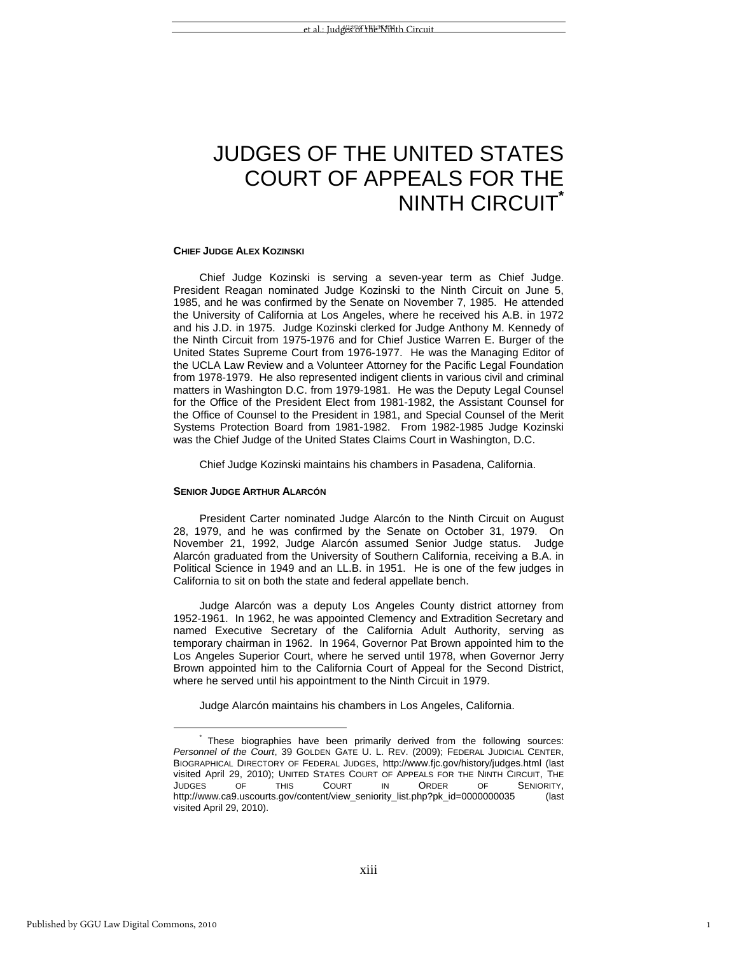# JUDGES OF THE UNITED STATES COURT OF APPEALS FOR THE NINTH CIRCUIT**\***

#### **CHIEF JUDGE ALEX KOZINSKI**

Chief Judge Kozinski is serving a seven-year term as Chief Judge. President Reagan nominated Judge Kozinski to the Ninth Circuit on June 5, 1985, and he was confirmed by the Senate on November 7, 1985. He attended the University of California at Los Angeles, where he received his A.B. in 1972 and his J.D. in 1975. Judge Kozinski clerked for Judge Anthony M. Kennedy of the Ninth Circuit from 1975-1976 and for Chief Justice Warren E. Burger of the United States Supreme Court from 1976-1977. He was the Managing Editor of the UCLA Law Review and a Volunteer Attorney for the Pacific Legal Foundation from 1978-1979. He also represented indigent clients in various civil and criminal matters in Washington D.C. from 1979-1981. He was the Deputy Legal Counsel for the Office of the President Elect from 1981-1982, the Assistant Counsel for the Office of Counsel to the President in 1981, and Special Counsel of the Merit Systems Protection Board from 1981-1982. From 1982-1985 Judge Kozinski was the Chief Judge of the United States Claims Court in Washington, D.C.

Chief Judge Kozinski maintains his chambers in Pasadena, California.

# **SENIOR JUDGE ARTHUR ALARCÓN**

President Carter nominated Judge Alarcón to the Ninth Circuit on August 28, 1979, and he was confirmed by the Senate on October 31, 1979. On November 21, 1992, Judge Alarcón assumed Senior Judge status. Judge Alarcón graduated from the University of Southern California, receiving a B.A. in Political Science in 1949 and an LL.B. in 1951. He is one of the few judges in California to sit on both the state and federal appellate bench.

Judge Alarcón was a deputy Los Angeles County district attorney from 1952-1961. In 1962, he was appointed Clemency and Extradition Secretary and named Executive Secretary of the California Adult Authority, serving as temporary chairman in 1962. In 1964, Governor Pat Brown appointed him to the Los Angeles Superior Court, where he served until 1978, when Governor Jerry Brown appointed him to the California Court of Appeal for the Second District, where he served until his appointment to the Ninth Circuit in 1979.

Judge Alarcón maintains his chambers in Los Angeles, California.

1

 $\overline{a}$ 

 <sup>\*</sup> These biographies have been primarily derived from the following sources: *Personnel of the Court*, 39 GOLDEN GATE U. L. REV. (2009); FEDERAL JUDICIAL CENTER, BIOGRAPHICAL DIRECTORY OF FEDERAL JUDGES, http://www.fjc.gov/history/judges.html (last visited April 29, 2010); UNITED STATES COURT OF APPEALS FOR THE NINTH CIRCUIT, THE JUDGES OF THIS COURT IN ORDER OF SENIORITY, http://www.ca9.uscourts.gov/content/view\_seniority\_list.php?pk\_id=0000000035 (last visited April 29, 2010).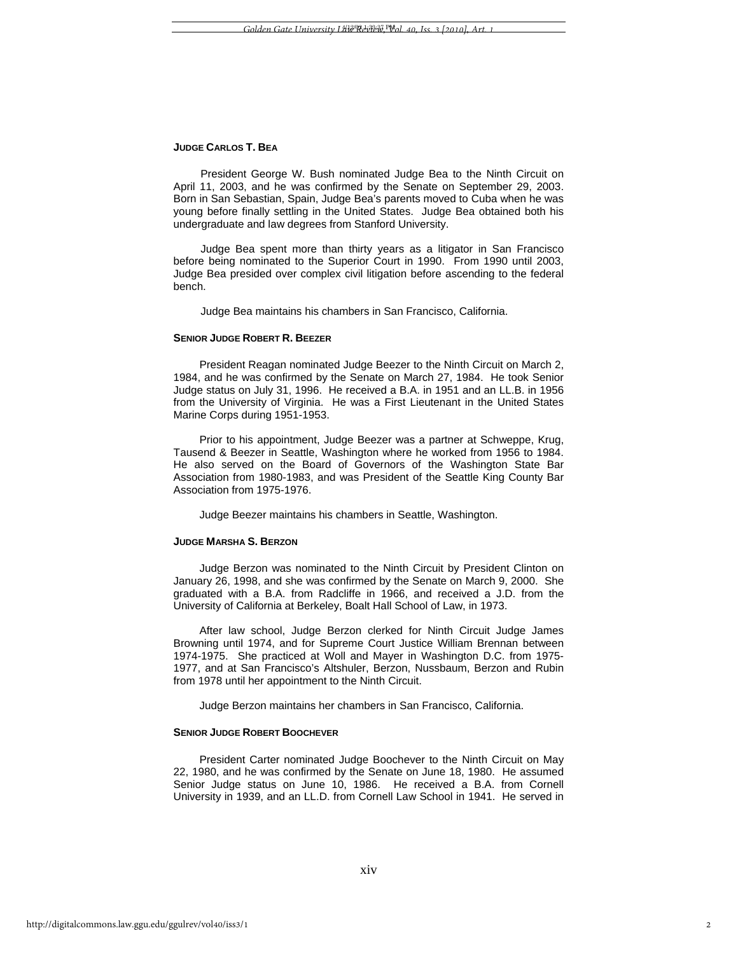### **JUDGE CARLOS T. BEA**

President George W. Bush nominated Judge Bea to the Ninth Circuit on April 11, 2003, and he was confirmed by the Senate on September 29, 2003. Born in San Sebastian, Spain, Judge Bea's parents moved to Cuba when he was young before finally settling in the United States. Judge Bea obtained both his undergraduate and law degrees from Stanford University.

Judge Bea spent more than thirty years as a litigator in San Francisco before being nominated to the Superior Court in 1990. From 1990 until 2003, Judge Bea presided over complex civil litigation before ascending to the federal bench.

Judge Bea maintains his chambers in San Francisco, California.

# **SENIOR JUDGE ROBERT R. BEEZER**

President Reagan nominated Judge Beezer to the Ninth Circuit on March 2, 1984, and he was confirmed by the Senate on March 27, 1984. He took Senior Judge status on July 31, 1996. He received a B.A. in 1951 and an LL.B. in 1956 from the University of Virginia. He was a First Lieutenant in the United States Marine Corps during 1951-1953.

Prior to his appointment, Judge Beezer was a partner at Schweppe, Krug, Tausend & Beezer in Seattle, Washington where he worked from 1956 to 1984. He also served on the Board of Governors of the Washington State Bar Association from 1980-1983, and was President of the Seattle King County Bar Association from 1975-1976.

Judge Beezer maintains his chambers in Seattle, Washington.

# **JUDGE MARSHA S. BERZON**

Judge Berzon was nominated to the Ninth Circuit by President Clinton on January 26, 1998, and she was confirmed by the Senate on March 9, 2000. She graduated with a B.A. from Radcliffe in 1966, and received a J.D. from the University of California at Berkeley, Boalt Hall School of Law, in 1973.

After law school, Judge Berzon clerked for Ninth Circuit Judge James Browning until 1974, and for Supreme Court Justice William Brennan between 1974-1975. She practiced at Woll and Mayer in Washington D.C. from 1975- 1977, and at San Francisco's Altshuler, Berzon, Nussbaum, Berzon and Rubin from 1978 until her appointment to the Ninth Circuit.

Judge Berzon maintains her chambers in San Francisco, California.

#### **SENIOR JUDGE ROBERT BOOCHEVER**

President Carter nominated Judge Boochever to the Ninth Circuit on May 22, 1980, and he was confirmed by the Senate on June 18, 1980. He assumed Senior Judge status on June 10, 1986. He received a B.A. from Cornell University in 1939, and an LL.D. from Cornell Law School in 1941. He served in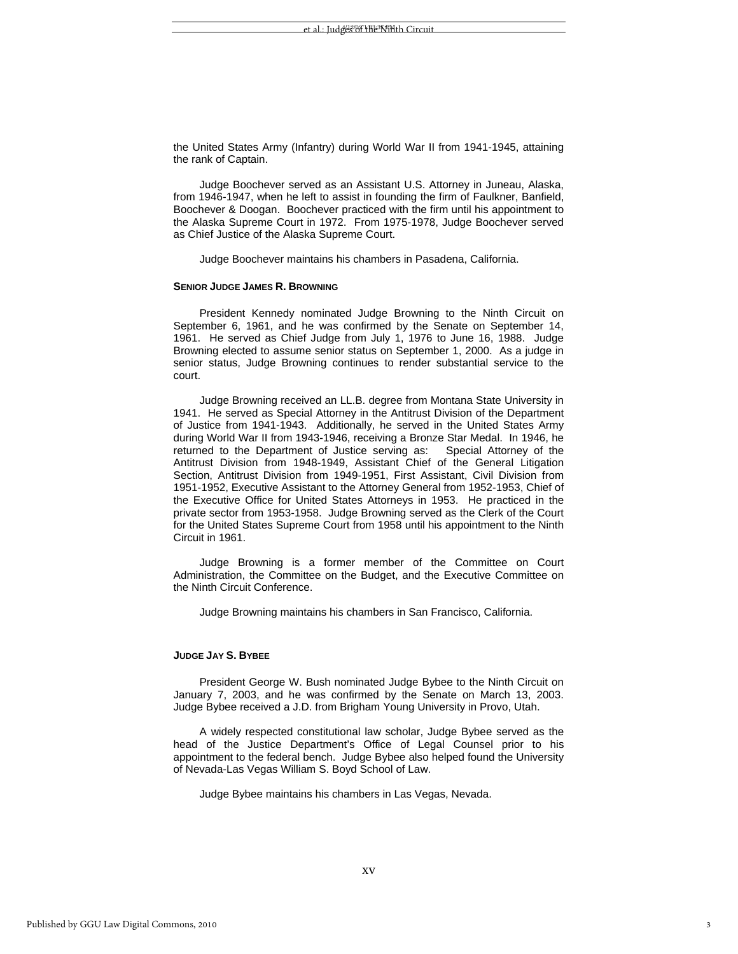the United States Army (Infantry) during World War II from 1941-1945, attaining the rank of Captain.

Judge Boochever served as an Assistant U.S. Attorney in Juneau, Alaska, from 1946-1947, when he left to assist in founding the firm of Faulkner, Banfield, Boochever & Doogan. Boochever practiced with the firm until his appointment to the Alaska Supreme Court in 1972. From 1975-1978, Judge Boochever served as Chief Justice of the Alaska Supreme Court.

Judge Boochever maintains his chambers in Pasadena, California.

# **SENIOR JUDGE JAMES R. BROWNING**

President Kennedy nominated Judge Browning to the Ninth Circuit on September 6, 1961, and he was confirmed by the Senate on September 14, 1961. He served as Chief Judge from July 1, 1976 to June 16, 1988. Judge Browning elected to assume senior status on September 1, 2000. As a judge in senior status, Judge Browning continues to render substantial service to the court.

Judge Browning received an LL.B. degree from Montana State University in 1941. He served as Special Attorney in the Antitrust Division of the Department of Justice from 1941-1943. Additionally, he served in the United States Army during World War II from 1943-1946, receiving a Bronze Star Medal. In 1946, he returned to the Department of Justice serving as: Special Attorney of the Antitrust Division from 1948-1949, Assistant Chief of the General Litigation Section, Antitrust Division from 1949-1951, First Assistant, Civil Division from 1951-1952, Executive Assistant to the Attorney General from 1952-1953, Chief of the Executive Office for United States Attorneys in 1953. He practiced in the private sector from 1953-1958. Judge Browning served as the Clerk of the Court for the United States Supreme Court from 1958 until his appointment to the Ninth Circuit in 1961.

Judge Browning is a former member of the Committee on Court Administration, the Committee on the Budget, and the Executive Committee on the Ninth Circuit Conference.

Judge Browning maintains his chambers in San Francisco, California.

# **JUDGE JAY S. BYBEE**

President George W. Bush nominated Judge Bybee to the Ninth Circuit on January 7, 2003, and he was confirmed by the Senate on March 13, 2003. Judge Bybee received a J.D. from Brigham Young University in Provo, Utah.

A widely respected constitutional law scholar, Judge Bybee served as the head of the Justice Department's Office of Legal Counsel prior to his appointment to the federal bench. Judge Bybee also helped found the University of Nevada-Las Vegas William S. Boyd School of Law.

Judge Bybee maintains his chambers in Las Vegas, Nevada.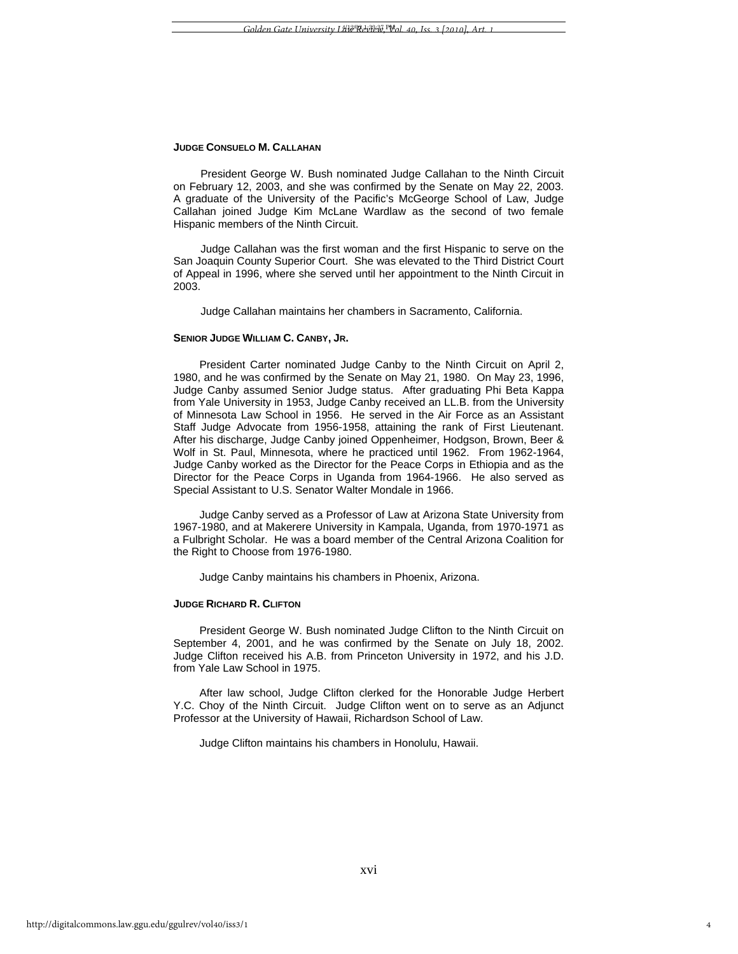## **JUDGE CONSUELO M. CALLAHAN**

President George W. Bush nominated Judge Callahan to the Ninth Circuit on February 12, 2003, and she was confirmed by the Senate on May 22, 2003. A graduate of the University of the Pacific's McGeorge School of Law, Judge Callahan joined Judge Kim McLane Wardlaw as the second of two female Hispanic members of the Ninth Circuit.

Judge Callahan was the first woman and the first Hispanic to serve on the San Joaquin County Superior Court. She was elevated to the Third District Court of Appeal in 1996, where she served until her appointment to the Ninth Circuit in 2003.

Judge Callahan maintains her chambers in Sacramento, California.

# **SENIOR JUDGE WILLIAM C. CANBY, JR.**

President Carter nominated Judge Canby to the Ninth Circuit on April 2, 1980, and he was confirmed by the Senate on May 21, 1980. On May 23, 1996, Judge Canby assumed Senior Judge status. After graduating Phi Beta Kappa from Yale University in 1953, Judge Canby received an LL.B. from the University of Minnesota Law School in 1956. He served in the Air Force as an Assistant Staff Judge Advocate from 1956-1958, attaining the rank of First Lieutenant. After his discharge, Judge Canby joined Oppenheimer, Hodgson, Brown, Beer & Wolf in St. Paul, Minnesota, where he practiced until 1962. From 1962-1964, Judge Canby worked as the Director for the Peace Corps in Ethiopia and as the Director for the Peace Corps in Uganda from 1964-1966. He also served as Special Assistant to U.S. Senator Walter Mondale in 1966.

Judge Canby served as a Professor of Law at Arizona State University from 1967-1980, and at Makerere University in Kampala, Uganda, from 1970-1971 as a Fulbright Scholar. He was a board member of the Central Arizona Coalition for the Right to Choose from 1976-1980.

Judge Canby maintains his chambers in Phoenix, Arizona.

# **JUDGE RICHARD R. CLIFTON**

President George W. Bush nominated Judge Clifton to the Ninth Circuit on September 4, 2001, and he was confirmed by the Senate on July 18, 2002. Judge Clifton received his A.B. from Princeton University in 1972, and his J.D. from Yale Law School in 1975.

After law school, Judge Clifton clerked for the Honorable Judge Herbert Y.C. Choy of the Ninth Circuit. Judge Clifton went on to serve as an Adjunct Professor at the University of Hawaii, Richardson School of Law.

Judge Clifton maintains his chambers in Honolulu, Hawaii.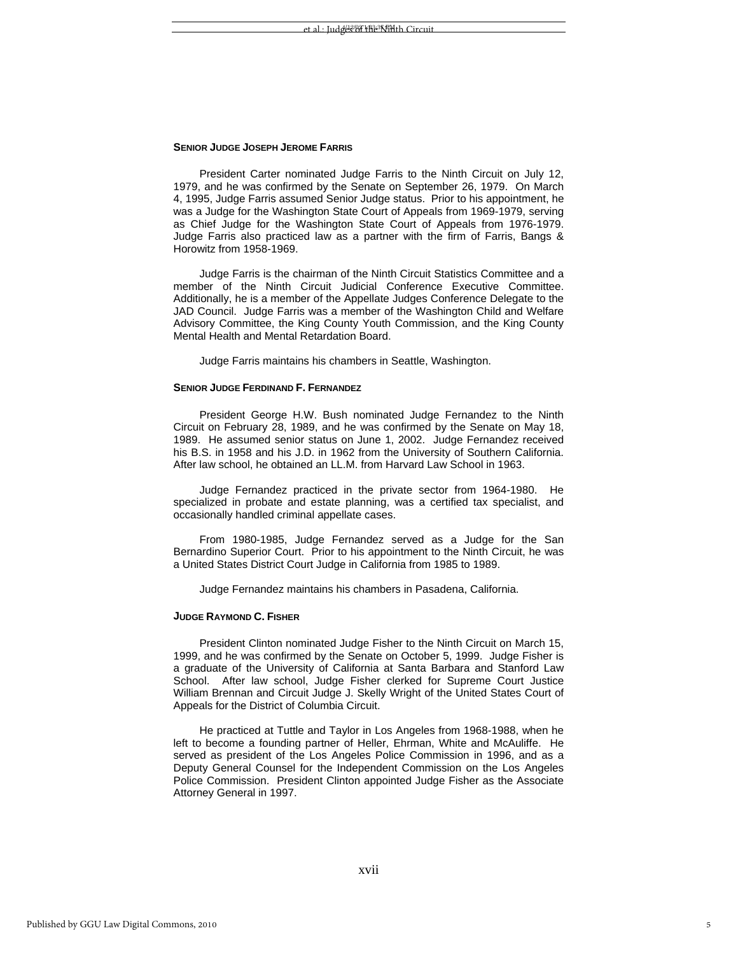## **SENIOR JUDGE JOSEPH JEROME FARRIS**

President Carter nominated Judge Farris to the Ninth Circuit on July 12, 1979, and he was confirmed by the Senate on September 26, 1979. On March 4, 1995, Judge Farris assumed Senior Judge status. Prior to his appointment, he was a Judge for the Washington State Court of Appeals from 1969-1979, serving as Chief Judge for the Washington State Court of Appeals from 1976-1979. Judge Farris also practiced law as a partner with the firm of Farris, Bangs & Horowitz from 1958-1969.

Judge Farris is the chairman of the Ninth Circuit Statistics Committee and a member of the Ninth Circuit Judicial Conference Executive Committee. Additionally, he is a member of the Appellate Judges Conference Delegate to the JAD Council. Judge Farris was a member of the Washington Child and Welfare Advisory Committee, the King County Youth Commission, and the King County Mental Health and Mental Retardation Board.

Judge Farris maintains his chambers in Seattle, Washington.

#### **SENIOR JUDGE FERDINAND F. FERNANDEZ**

President George H.W. Bush nominated Judge Fernandez to the Ninth Circuit on February 28, 1989, and he was confirmed by the Senate on May 18, 1989. He assumed senior status on June 1, 2002. Judge Fernandez received his B.S. in 1958 and his J.D. in 1962 from the University of Southern California. After law school, he obtained an LL.M. from Harvard Law School in 1963.

Judge Fernandez practiced in the private sector from 1964-1980. He specialized in probate and estate planning, was a certified tax specialist, and occasionally handled criminal appellate cases.

From 1980-1985, Judge Fernandez served as a Judge for the San Bernardino Superior Court. Prior to his appointment to the Ninth Circuit, he was a United States District Court Judge in California from 1985 to 1989.

Judge Fernandez maintains his chambers in Pasadena, California.

#### **JUDGE RAYMOND C. FISHER**

President Clinton nominated Judge Fisher to the Ninth Circuit on March 15, 1999, and he was confirmed by the Senate on October 5, 1999. Judge Fisher is a graduate of the University of California at Santa Barbara and Stanford Law School. After law school, Judge Fisher clerked for Supreme Court Justice William Brennan and Circuit Judge J. Skelly Wright of the United States Court of Appeals for the District of Columbia Circuit.

He practiced at Tuttle and Taylor in Los Angeles from 1968-1988, when he left to become a founding partner of Heller, Ehrman, White and McAuliffe. He served as president of the Los Angeles Police Commission in 1996, and as a Deputy General Counsel for the Independent Commission on the Los Angeles Police Commission. President Clinton appointed Judge Fisher as the Associate Attorney General in 1997.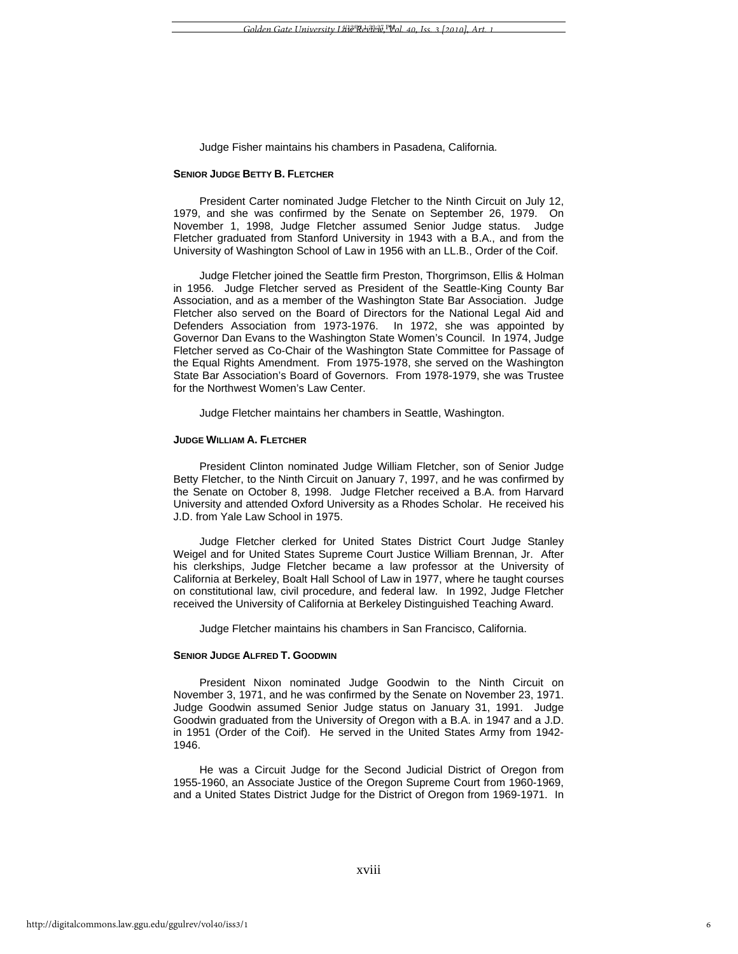Judge Fisher maintains his chambers in Pasadena, California.

#### **SENIOR JUDGE BETTY B. FLETCHER**

President Carter nominated Judge Fletcher to the Ninth Circuit on July 12, 1979, and she was confirmed by the Senate on September 26, 1979. On November 1, 1998, Judge Fletcher assumed Senior Judge status. Judge Fletcher graduated from Stanford University in 1943 with a B.A., and from the University of Washington School of Law in 1956 with an LL.B., Order of the Coif.

Judge Fletcher joined the Seattle firm Preston, Thorgrimson, Ellis & Holman in 1956. Judge Fletcher served as President of the Seattle-King County Bar Association, and as a member of the Washington State Bar Association. Judge Fletcher also served on the Board of Directors for the National Legal Aid and Defenders Association from 1973-1976. In 1972, she was appointed by Governor Dan Evans to the Washington State Women's Council. In 1974, Judge Fletcher served as Co-Chair of the Washington State Committee for Passage of the Equal Rights Amendment. From 1975-1978, she served on the Washington State Bar Association's Board of Governors. From 1978-1979, she was Trustee for the Northwest Women's Law Center.

Judge Fletcher maintains her chambers in Seattle, Washington.

# **JUDGE WILLIAM A. FLETCHER**

President Clinton nominated Judge William Fletcher, son of Senior Judge Betty Fletcher, to the Ninth Circuit on January 7, 1997, and he was confirmed by the Senate on October 8, 1998. Judge Fletcher received a B.A. from Harvard University and attended Oxford University as a Rhodes Scholar. He received his J.D. from Yale Law School in 1975.

Judge Fletcher clerked for United States District Court Judge Stanley Weigel and for United States Supreme Court Justice William Brennan, Jr. After his clerkships, Judge Fletcher became a law professor at the University of California at Berkeley, Boalt Hall School of Law in 1977, where he taught courses on constitutional law, civil procedure, and federal law. In 1992, Judge Fletcher received the University of California at Berkeley Distinguished Teaching Award.

Judge Fletcher maintains his chambers in San Francisco, California.

# **SENIOR JUDGE ALFRED T. GOODWIN**

President Nixon nominated Judge Goodwin to the Ninth Circuit on November 3, 1971, and he was confirmed by the Senate on November 23, 1971. Judge Goodwin assumed Senior Judge status on January 31, 1991. Judge Goodwin graduated from the University of Oregon with a B.A. in 1947 and a J.D. in 1951 (Order of the Coif). He served in the United States Army from 1942- 1946.

He was a Circuit Judge for the Second Judicial District of Oregon from 1955-1960, an Associate Justice of the Oregon Supreme Court from 1960-1969, and a United States District Judge for the District of Oregon from 1969-1971. In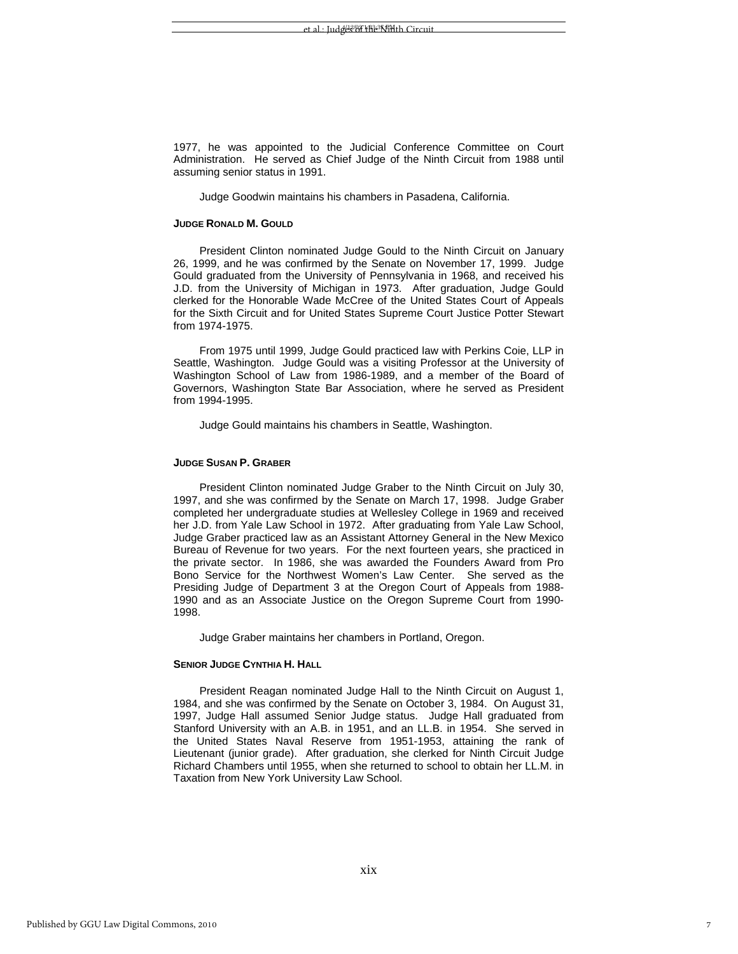1977, he was appointed to the Judicial Conference Committee on Court Administration. He served as Chief Judge of the Ninth Circuit from 1988 until assuming senior status in 1991.

Judge Goodwin maintains his chambers in Pasadena, California.

# **JUDGE RONALD M. GOULD**

President Clinton nominated Judge Gould to the Ninth Circuit on January 26, 1999, and he was confirmed by the Senate on November 17, 1999. Judge Gould graduated from the University of Pennsylvania in 1968, and received his J.D. from the University of Michigan in 1973. After graduation, Judge Gould clerked for the Honorable Wade McCree of the United States Court of Appeals for the Sixth Circuit and for United States Supreme Court Justice Potter Stewart from 1974-1975.

From 1975 until 1999, Judge Gould practiced law with Perkins Coie, LLP in Seattle, Washington. Judge Gould was a visiting Professor at the University of Washington School of Law from 1986-1989, and a member of the Board of Governors, Washington State Bar Association, where he served as President from 1994-1995.

Judge Gould maintains his chambers in Seattle, Washington.

# **JUDGE SUSAN P. GRABER**

President Clinton nominated Judge Graber to the Ninth Circuit on July 30, 1997, and she was confirmed by the Senate on March 17, 1998. Judge Graber completed her undergraduate studies at Wellesley College in 1969 and received her J.D. from Yale Law School in 1972. After graduating from Yale Law School, Judge Graber practiced law as an Assistant Attorney General in the New Mexico Bureau of Revenue for two years. For the next fourteen years, she practiced in the private sector. In 1986, she was awarded the Founders Award from Pro Bono Service for the Northwest Women's Law Center. She served as the Presiding Judge of Department 3 at the Oregon Court of Appeals from 1988- 1990 and as an Associate Justice on the Oregon Supreme Court from 1990- 1998.

Judge Graber maintains her chambers in Portland, Oregon.

#### **SENIOR JUDGE CYNTHIA H. HALL**

President Reagan nominated Judge Hall to the Ninth Circuit on August 1, 1984, and she was confirmed by the Senate on October 3, 1984. On August 31, 1997, Judge Hall assumed Senior Judge status. Judge Hall graduated from Stanford University with an A.B. in 1951, and an LL.B. in 1954. She served in the United States Naval Reserve from 1951-1953, attaining the rank of Lieutenant (junior grade). After graduation, she clerked for Ninth Circuit Judge Richard Chambers until 1955, when she returned to school to obtain her LL.M. in Taxation from New York University Law School.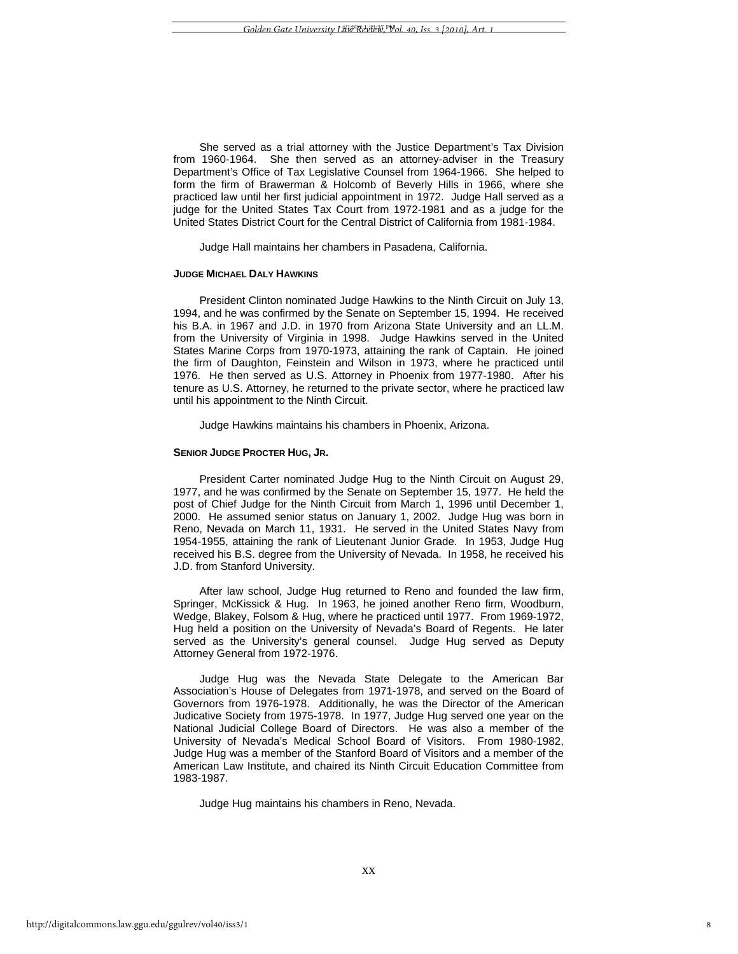She served as a trial attorney with the Justice Department's Tax Division from 1960-1964. She then served as an attorney-adviser in the Treasury Department's Office of Tax Legislative Counsel from 1964-1966. She helped to form the firm of Brawerman & Holcomb of Beverly Hills in 1966, where she practiced law until her first judicial appointment in 1972. Judge Hall served as a judge for the United States Tax Court from 1972-1981 and as a judge for the United States District Court for the Central District of California from 1981-1984.

Judge Hall maintains her chambers in Pasadena, California.

#### **JUDGE MICHAEL DALY HAWKINS**

President Clinton nominated Judge Hawkins to the Ninth Circuit on July 13, 1994, and he was confirmed by the Senate on September 15, 1994. He received his B.A. in 1967 and J.D. in 1970 from Arizona State University and an LL.M. from the University of Virginia in 1998. Judge Hawkins served in the United States Marine Corps from 1970-1973, attaining the rank of Captain. He joined the firm of Daughton, Feinstein and Wilson in 1973, where he practiced until 1976. He then served as U.S. Attorney in Phoenix from 1977-1980. After his tenure as U.S. Attorney, he returned to the private sector, where he practiced law until his appointment to the Ninth Circuit.

Judge Hawkins maintains his chambers in Phoenix, Arizona.

#### **SENIOR JUDGE PROCTER HUG, JR.**

President Carter nominated Judge Hug to the Ninth Circuit on August 29, 1977, and he was confirmed by the Senate on September 15, 1977. He held the post of Chief Judge for the Ninth Circuit from March 1, 1996 until December 1, 2000. He assumed senior status on January 1, 2002. Judge Hug was born in Reno, Nevada on March 11, 1931. He served in the United States Navy from 1954-1955, attaining the rank of Lieutenant Junior Grade. In 1953, Judge Hug received his B.S. degree from the University of Nevada. In 1958, he received his J.D. from Stanford University.

After law school, Judge Hug returned to Reno and founded the law firm, Springer, McKissick & Hug. In 1963, he joined another Reno firm, Woodburn, Wedge, Blakey, Folsom & Hug, where he practiced until 1977. From 1969-1972, Hug held a position on the University of Nevada's Board of Regents. He later served as the University's general counsel. Judge Hug served as Deputy Attorney General from 1972-1976.

Judge Hug was the Nevada State Delegate to the American Bar Association's House of Delegates from 1971-1978, and served on the Board of Governors from 1976-1978. Additionally, he was the Director of the American Judicative Society from 1975-1978. In 1977, Judge Hug served one year on the National Judicial College Board of Directors. He was also a member of the University of Nevada's Medical School Board of Visitors. From 1980-1982, Judge Hug was a member of the Stanford Board of Visitors and a member of the American Law Institute, and chaired its Ninth Circuit Education Committee from 1983-1987.

Judge Hug maintains his chambers in Reno, Nevada.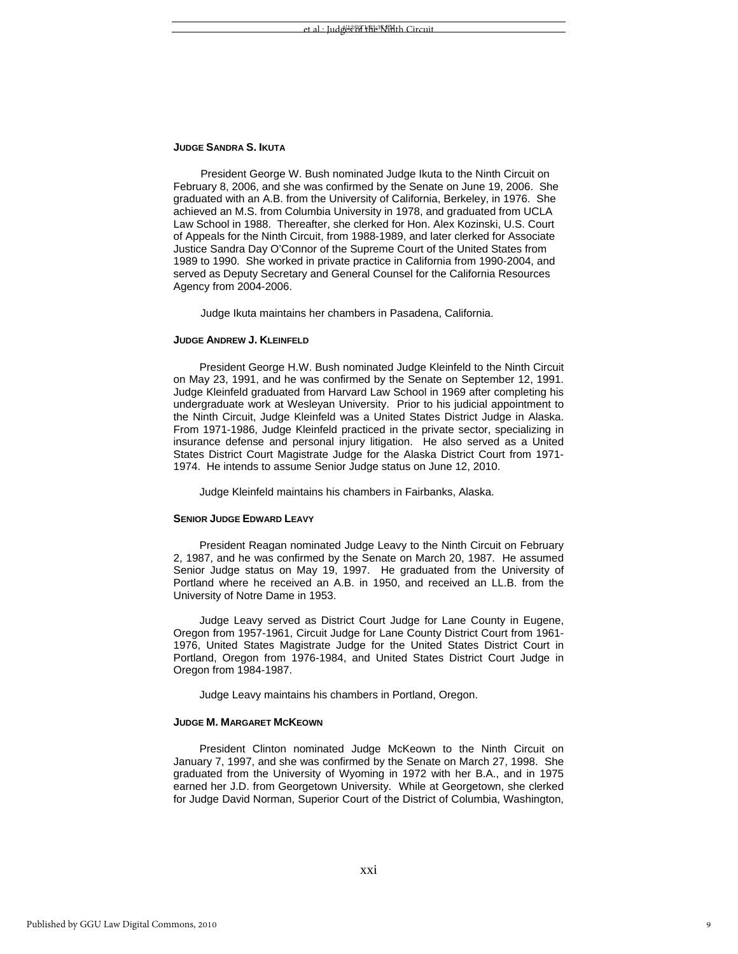### **JUDGE SANDRA S. IKUTA**

President George W. Bush nominated Judge Ikuta to the Ninth Circuit on February 8, 2006, and she was confirmed by the Senate on June 19, 2006. She graduated with an A.B. from the University of California, Berkeley, in 1976. She achieved an M.S. from Columbia University in 1978, and graduated from UCLA Law School in 1988. Thereafter, she clerked for Hon. Alex Kozinski, U.S. Court of Appeals for the Ninth Circuit, from 1988-1989, and later clerked for Associate Justice Sandra Day O'Connor of the Supreme Court of the United States from 1989 to 1990. She worked in private practice in California from 1990-2004, and served as Deputy Secretary and General Counsel for the California Resources Agency from 2004-2006.

Judge Ikuta maintains her chambers in Pasadena, California.

# **JUDGE ANDREW J. KLEINFELD**

President George H.W. Bush nominated Judge Kleinfeld to the Ninth Circuit on May 23, 1991, and he was confirmed by the Senate on September 12, 1991. Judge Kleinfeld graduated from Harvard Law School in 1969 after completing his undergraduate work at Wesleyan University. Prior to his judicial appointment to the Ninth Circuit, Judge Kleinfeld was a United States District Judge in Alaska. From 1971-1986, Judge Kleinfeld practiced in the private sector, specializing in insurance defense and personal injury litigation. He also served as a United States District Court Magistrate Judge for the Alaska District Court from 1971- 1974. He intends to assume Senior Judge status on June 12, 2010.

Judge Kleinfeld maintains his chambers in Fairbanks, Alaska.

# **SENIOR JUDGE EDWARD LEAVY**

President Reagan nominated Judge Leavy to the Ninth Circuit on February 2, 1987, and he was confirmed by the Senate on March 20, 1987. He assumed Senior Judge status on May 19, 1997. He graduated from the University of Portland where he received an A.B. in 1950, and received an LL.B. from the University of Notre Dame in 1953.

Judge Leavy served as District Court Judge for Lane County in Eugene, Oregon from 1957-1961, Circuit Judge for Lane County District Court from 1961- 1976, United States Magistrate Judge for the United States District Court in Portland, Oregon from 1976-1984, and United States District Court Judge in Oregon from 1984-1987.

Judge Leavy maintains his chambers in Portland, Oregon.

### **JUDGE M. MARGARET MCKEOWN**

President Clinton nominated Judge McKeown to the Ninth Circuit on January 7, 1997, and she was confirmed by the Senate on March 27, 1998. She graduated from the University of Wyoming in 1972 with her B.A., and in 1975 earned her J.D. from Georgetown University. While at Georgetown, she clerked for Judge David Norman, Superior Court of the District of Columbia, Washington,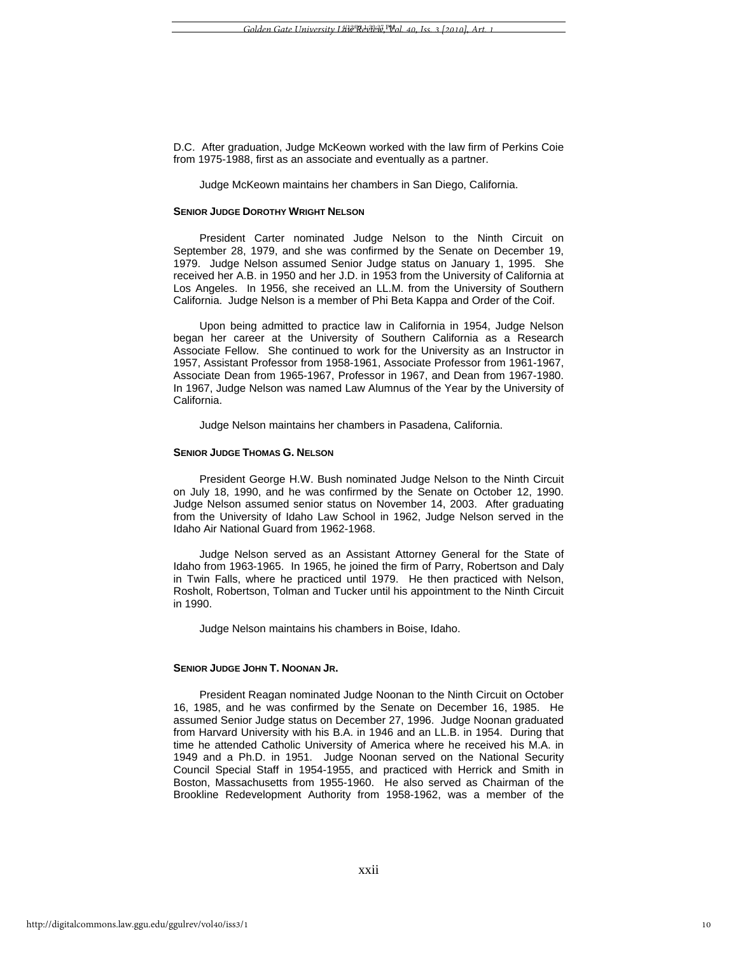D.C. After graduation, Judge McKeown worked with the law firm of Perkins Coie from 1975-1988, first as an associate and eventually as a partner.

Judge McKeown maintains her chambers in San Diego, California.

#### **SENIOR JUDGE DOROTHY WRIGHT NELSON**

President Carter nominated Judge Nelson to the Ninth Circuit on September 28, 1979, and she was confirmed by the Senate on December 19, 1979. Judge Nelson assumed Senior Judge status on January 1, 1995. She received her A.B. in 1950 and her J.D. in 1953 from the University of California at Los Angeles. In 1956, she received an LL.M. from the University of Southern California. Judge Nelson is a member of Phi Beta Kappa and Order of the Coif.

Upon being admitted to practice law in California in 1954, Judge Nelson began her career at the University of Southern California as a Research Associate Fellow. She continued to work for the University as an Instructor in 1957, Assistant Professor from 1958-1961, Associate Professor from 1961-1967, Associate Dean from 1965-1967, Professor in 1967, and Dean from 1967-1980. In 1967, Judge Nelson was named Law Alumnus of the Year by the University of California.

Judge Nelson maintains her chambers in Pasadena, California.

# **SENIOR JUDGE THOMAS G. NELSON**

President George H.W. Bush nominated Judge Nelson to the Ninth Circuit on July 18, 1990, and he was confirmed by the Senate on October 12, 1990. Judge Nelson assumed senior status on November 14, 2003. After graduating from the University of Idaho Law School in 1962, Judge Nelson served in the Idaho Air National Guard from 1962-1968.

Judge Nelson served as an Assistant Attorney General for the State of Idaho from 1963-1965. In 1965, he joined the firm of Parry, Robertson and Daly in Twin Falls, where he practiced until 1979. He then practiced with Nelson, Rosholt, Robertson, Tolman and Tucker until his appointment to the Ninth Circuit in 1990.

Judge Nelson maintains his chambers in Boise, Idaho.

# **SENIOR JUDGE JOHN T. NOONAN JR.**

President Reagan nominated Judge Noonan to the Ninth Circuit on October 16, 1985, and he was confirmed by the Senate on December 16, 1985. He assumed Senior Judge status on December 27, 1996. Judge Noonan graduated from Harvard University with his B.A. in 1946 and an LL.B. in 1954. During that time he attended Catholic University of America where he received his M.A. in 1949 and a Ph.D. in 1951. Judge Noonan served on the National Security Council Special Staff in 1954-1955, and practiced with Herrick and Smith in Boston, Massachusetts from 1955-1960. He also served as Chairman of the Brookline Redevelopment Authority from 1958-1962, was a member of the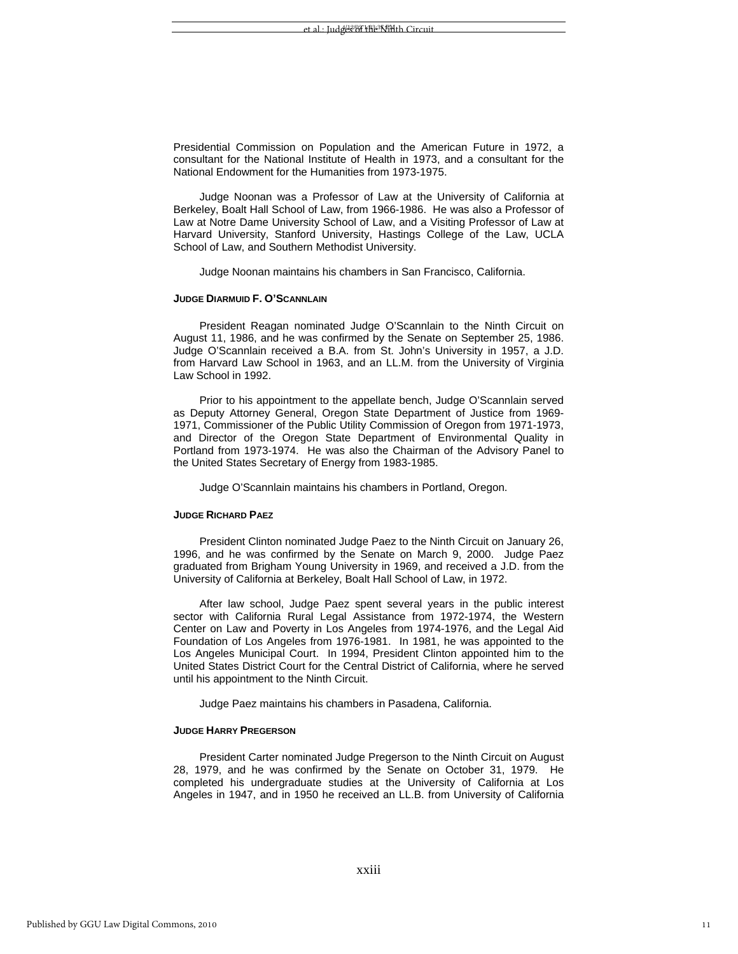Presidential Commission on Population and the American Future in 1972, a consultant for the National Institute of Health in 1973, and a consultant for the National Endowment for the Humanities from 1973-1975.

Judge Noonan was a Professor of Law at the University of California at Berkeley, Boalt Hall School of Law, from 1966-1986. He was also a Professor of Law at Notre Dame University School of Law, and a Visiting Professor of Law at Harvard University, Stanford University, Hastings College of the Law, UCLA School of Law, and Southern Methodist University.

Judge Noonan maintains his chambers in San Francisco, California.

# **JUDGE DIARMUID F. O'SCANNLAIN**

President Reagan nominated Judge O'Scannlain to the Ninth Circuit on August 11, 1986, and he was confirmed by the Senate on September 25, 1986. Judge O'Scannlain received a B.A. from St. John's University in 1957, a J.D. from Harvard Law School in 1963, and an LL.M. from the University of Virginia Law School in 1992.

Prior to his appointment to the appellate bench, Judge O'Scannlain served as Deputy Attorney General, Oregon State Department of Justice from 1969- 1971, Commissioner of the Public Utility Commission of Oregon from 1971-1973, and Director of the Oregon State Department of Environmental Quality in Portland from 1973-1974. He was also the Chairman of the Advisory Panel to the United States Secretary of Energy from 1983-1985.

Judge O'Scannlain maintains his chambers in Portland, Oregon.

# **JUDGE RICHARD PAEZ**

President Clinton nominated Judge Paez to the Ninth Circuit on January 26, 1996, and he was confirmed by the Senate on March 9, 2000. Judge Paez graduated from Brigham Young University in 1969, and received a J.D. from the University of California at Berkeley, Boalt Hall School of Law, in 1972.

After law school, Judge Paez spent several years in the public interest sector with California Rural Legal Assistance from 1972-1974, the Western Center on Law and Poverty in Los Angeles from 1974-1976, and the Legal Aid Foundation of Los Angeles from 1976-1981. In 1981, he was appointed to the Los Angeles Municipal Court. In 1994, President Clinton appointed him to the United States District Court for the Central District of California, where he served until his appointment to the Ninth Circuit.

Judge Paez maintains his chambers in Pasadena, California.

#### **JUDGE HARRY PREGERSON**

President Carter nominated Judge Pregerson to the Ninth Circuit on August 28, 1979, and he was confirmed by the Senate on October 31, 1979. He completed his undergraduate studies at the University of California at Los Angeles in 1947, and in 1950 he received an LL.B. from University of California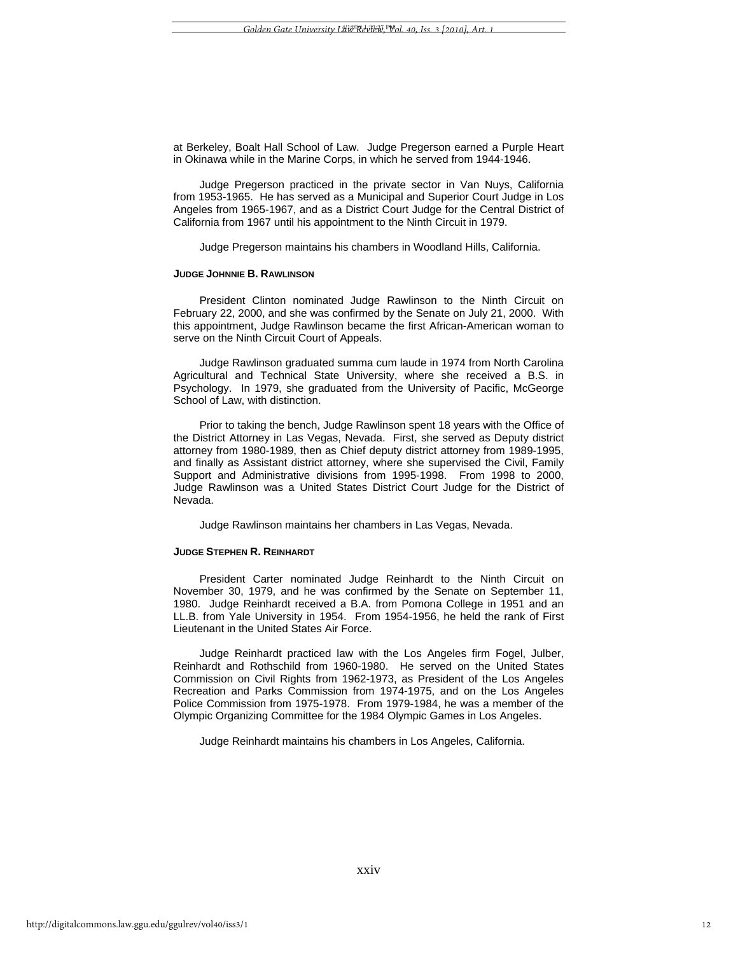at Berkeley, Boalt Hall School of Law. Judge Pregerson earned a Purple Heart in Okinawa while in the Marine Corps, in which he served from 1944-1946.

Judge Pregerson practiced in the private sector in Van Nuys, California from 1953-1965. He has served as a Municipal and Superior Court Judge in Los Angeles from 1965-1967, and as a District Court Judge for the Central District of California from 1967 until his appointment to the Ninth Circuit in 1979.

Judge Pregerson maintains his chambers in Woodland Hills, California.

#### **JUDGE JOHNNIE B. RAWLINSON**

President Clinton nominated Judge Rawlinson to the Ninth Circuit on February 22, 2000, and she was confirmed by the Senate on July 21, 2000. With this appointment, Judge Rawlinson became the first African-American woman to serve on the Ninth Circuit Court of Appeals.

Judge Rawlinson graduated summa cum laude in 1974 from North Carolina Agricultural and Technical State University, where she received a B.S. in Psychology. In 1979, she graduated from the University of Pacific, McGeorge School of Law, with distinction.

Prior to taking the bench, Judge Rawlinson spent 18 years with the Office of the District Attorney in Las Vegas, Nevada. First, she served as Deputy district attorney from 1980-1989, then as Chief deputy district attorney from 1989-1995, and finally as Assistant district attorney, where she supervised the Civil, Family Support and Administrative divisions from 1995-1998. From 1998 to 2000, Judge Rawlinson was a United States District Court Judge for the District of Nevada.

Judge Rawlinson maintains her chambers in Las Vegas, Nevada.

#### **JUDGE STEPHEN R. REINHARDT**

President Carter nominated Judge Reinhardt to the Ninth Circuit on November 30, 1979, and he was confirmed by the Senate on September 11, 1980. Judge Reinhardt received a B.A. from Pomona College in 1951 and an LL.B. from Yale University in 1954. From 1954-1956, he held the rank of First Lieutenant in the United States Air Force.

Judge Reinhardt practiced law with the Los Angeles firm Fogel, Julber, Reinhardt and Rothschild from 1960-1980. He served on the United States Commission on Civil Rights from 1962-1973, as President of the Los Angeles Recreation and Parks Commission from 1974-1975, and on the Los Angeles Police Commission from 1975-1978. From 1979-1984, he was a member of the Olympic Organizing Committee for the 1984 Olympic Games in Los Angeles.

Judge Reinhardt maintains his chambers in Los Angeles, California.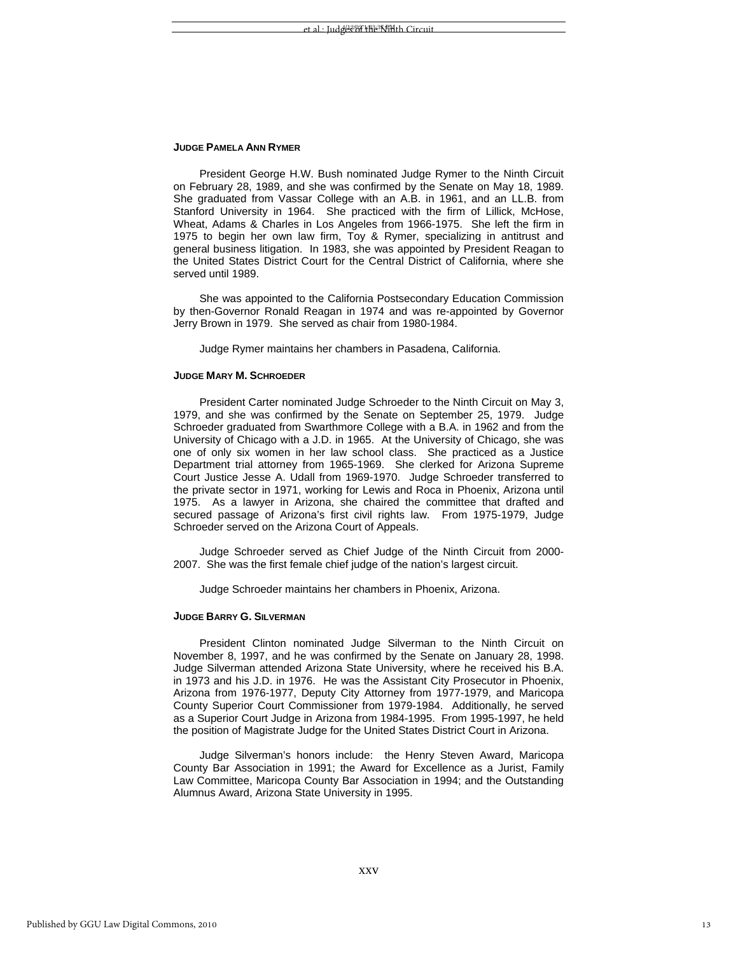### **JUDGE PAMELA ANN RYMER**

President George H.W. Bush nominated Judge Rymer to the Ninth Circuit on February 28, 1989, and she was confirmed by the Senate on May 18, 1989. She graduated from Vassar College with an A.B. in 1961, and an LL.B. from Stanford University in 1964. She practiced with the firm of Lillick, McHose, Wheat, Adams & Charles in Los Angeles from 1966-1975. She left the firm in 1975 to begin her own law firm, Toy & Rymer, specializing in antitrust and general business litigation. In 1983, she was appointed by President Reagan to the United States District Court for the Central District of California, where she served until 1989.

She was appointed to the California Postsecondary Education Commission by then-Governor Ronald Reagan in 1974 and was re-appointed by Governor Jerry Brown in 1979. She served as chair from 1980-1984.

Judge Rymer maintains her chambers in Pasadena, California.

# **JUDGE MARY M. SCHROEDER**

President Carter nominated Judge Schroeder to the Ninth Circuit on May 3, 1979, and she was confirmed by the Senate on September 25, 1979. Judge Schroeder graduated from Swarthmore College with a B.A. in 1962 and from the University of Chicago with a J.D. in 1965. At the University of Chicago, she was one of only six women in her law school class. She practiced as a Justice Department trial attorney from 1965-1969. She clerked for Arizona Supreme Court Justice Jesse A. Udall from 1969-1970. Judge Schroeder transferred to the private sector in 1971, working for Lewis and Roca in Phoenix, Arizona until 1975. As a lawyer in Arizona, she chaired the committee that drafted and secured passage of Arizona's first civil rights law. From 1975-1979, Judge Schroeder served on the Arizona Court of Appeals.

Judge Schroeder served as Chief Judge of the Ninth Circuit from 2000- 2007. She was the first female chief judge of the nation's largest circuit.

Judge Schroeder maintains her chambers in Phoenix, Arizona.

#### **JUDGE BARRY G. SILVERMAN**

President Clinton nominated Judge Silverman to the Ninth Circuit on November 8, 1997, and he was confirmed by the Senate on January 28, 1998. Judge Silverman attended Arizona State University, where he received his B.A. in 1973 and his J.D. in 1976. He was the Assistant City Prosecutor in Phoenix, Arizona from 1976-1977, Deputy City Attorney from 1977-1979, and Maricopa County Superior Court Commissioner from 1979-1984. Additionally, he served as a Superior Court Judge in Arizona from 1984-1995. From 1995-1997, he held the position of Magistrate Judge for the United States District Court in Arizona.

Judge Silverman's honors include: the Henry Steven Award, Maricopa County Bar Association in 1991; the Award for Excellence as a Jurist, Family Law Committee, Maricopa County Bar Association in 1994; and the Outstanding Alumnus Award, Arizona State University in 1995.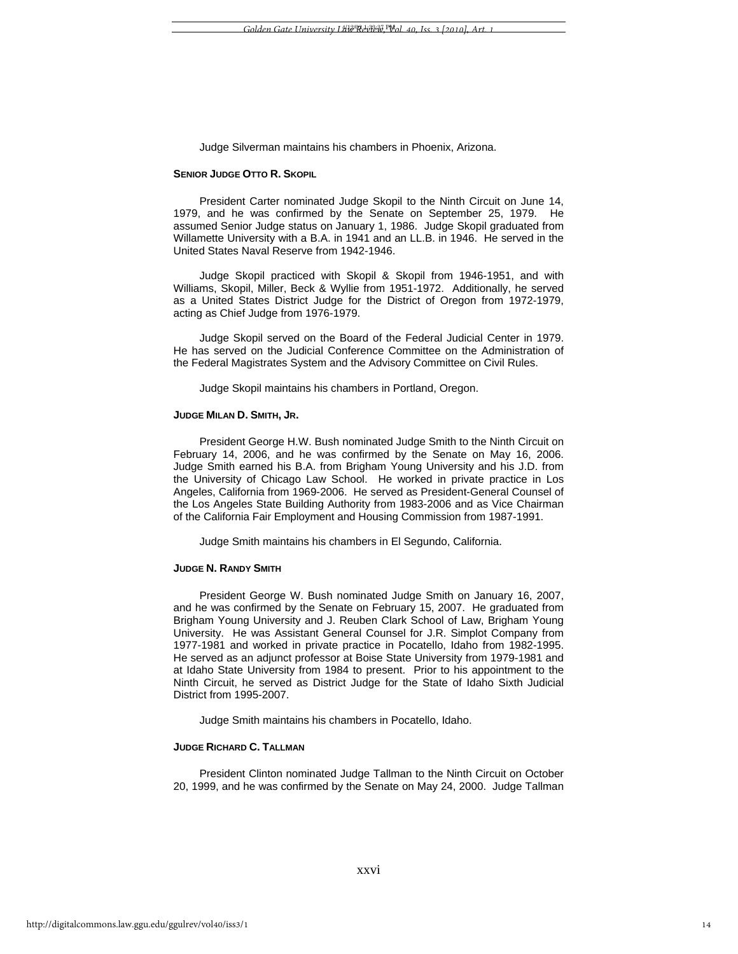Judge Silverman maintains his chambers in Phoenix, Arizona.

#### **SENIOR JUDGE OTTO R. SKOPIL**

President Carter nominated Judge Skopil to the Ninth Circuit on June 14, 1979, and he was confirmed by the Senate on September 25, 1979. He assumed Senior Judge status on January 1, 1986. Judge Skopil graduated from Willamette University with a B.A. in 1941 and an LL.B. in 1946. He served in the United States Naval Reserve from 1942-1946.

Judge Skopil practiced with Skopil & Skopil from 1946-1951, and with Williams, Skopil, Miller, Beck & Wyllie from 1951-1972. Additionally, he served as a United States District Judge for the District of Oregon from 1972-1979, acting as Chief Judge from 1976-1979.

Judge Skopil served on the Board of the Federal Judicial Center in 1979. He has served on the Judicial Conference Committee on the Administration of the Federal Magistrates System and the Advisory Committee on Civil Rules.

Judge Skopil maintains his chambers in Portland, Oregon.

# **JUDGE MILAN D. SMITH, JR.**

President George H.W. Bush nominated Judge Smith to the Ninth Circuit on February 14, 2006, and he was confirmed by the Senate on May 16, 2006. Judge Smith earned his B.A. from Brigham Young University and his J.D. from the University of Chicago Law School. He worked in private practice in Los Angeles, California from 1969-2006. He served as President-General Counsel of the Los Angeles State Building Authority from 1983-2006 and as Vice Chairman of the California Fair Employment and Housing Commission from 1987-1991.

Judge Smith maintains his chambers in El Segundo, California.

#### **JUDGE N. RANDY SMITH**

President George W. Bush nominated Judge Smith on January 16, 2007, and he was confirmed by the Senate on February 15, 2007. He graduated from Brigham Young University and J. Reuben Clark School of Law, Brigham Young University. He was Assistant General Counsel for J.R. Simplot Company from 1977-1981 and worked in private practice in Pocatello, Idaho from 1982-1995. He served as an adjunct professor at Boise State University from 1979-1981 and at Idaho State University from 1984 to present. Prior to his appointment to the Ninth Circuit, he served as District Judge for the State of Idaho Sixth Judicial District from 1995-2007.

Judge Smith maintains his chambers in Pocatello, Idaho.

# **JUDGE RICHARD C. TALLMAN**

President Clinton nominated Judge Tallman to the Ninth Circuit on October 20, 1999, and he was confirmed by the Senate on May 24, 2000. Judge Tallman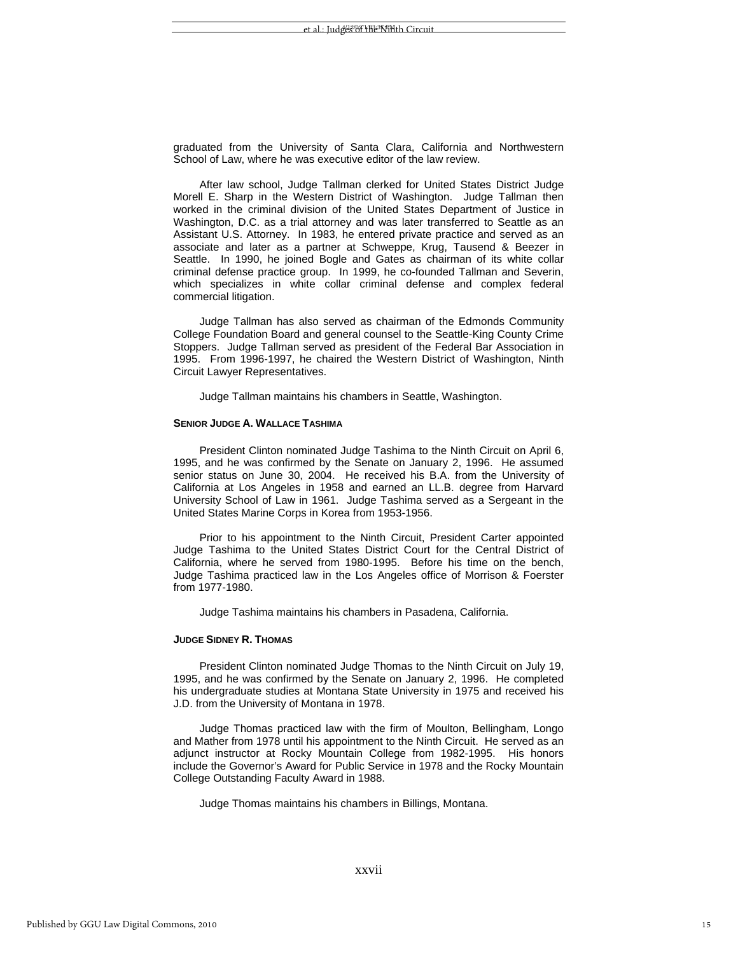graduated from the University of Santa Clara, California and Northwestern School of Law, where he was executive editor of the law review.

After law school, Judge Tallman clerked for United States District Judge Morell E. Sharp in the Western District of Washington. Judge Tallman then worked in the criminal division of the United States Department of Justice in Washington, D.C. as a trial attorney and was later transferred to Seattle as an Assistant U.S. Attorney. In 1983, he entered private practice and served as an associate and later as a partner at Schweppe, Krug, Tausend & Beezer in Seattle. In 1990, he joined Bogle and Gates as chairman of its white collar criminal defense practice group. In 1999, he co-founded Tallman and Severin, which specializes in white collar criminal defense and complex federal commercial litigation.

Judge Tallman has also served as chairman of the Edmonds Community College Foundation Board and general counsel to the Seattle-King County Crime Stoppers. Judge Tallman served as president of the Federal Bar Association in 1995. From 1996-1997, he chaired the Western District of Washington, Ninth Circuit Lawyer Representatives.

Judge Tallman maintains his chambers in Seattle, Washington.

# **SENIOR JUDGE A. WALLACE TASHIMA**

President Clinton nominated Judge Tashima to the Ninth Circuit on April 6, 1995, and he was confirmed by the Senate on January 2, 1996. He assumed senior status on June 30, 2004. He received his B.A. from the University of California at Los Angeles in 1958 and earned an LL.B. degree from Harvard University School of Law in 1961. Judge Tashima served as a Sergeant in the United States Marine Corps in Korea from 1953-1956.

Prior to his appointment to the Ninth Circuit, President Carter appointed Judge Tashima to the United States District Court for the Central District of California, where he served from 1980-1995. Before his time on the bench, Judge Tashima practiced law in the Los Angeles office of Morrison & Foerster from 1977-1980.

Judge Tashima maintains his chambers in Pasadena, California.

#### **JUDGE SIDNEY R. THOMAS**

President Clinton nominated Judge Thomas to the Ninth Circuit on July 19, 1995, and he was confirmed by the Senate on January 2, 1996. He completed his undergraduate studies at Montana State University in 1975 and received his J.D. from the University of Montana in 1978.

Judge Thomas practiced law with the firm of Moulton, Bellingham, Longo and Mather from 1978 until his appointment to the Ninth Circuit. He served as an adjunct instructor at Rocky Mountain College from 1982-1995. His honors include the Governor's Award for Public Service in 1978 and the Rocky Mountain College Outstanding Faculty Award in 1988.

Judge Thomas maintains his chambers in Billings, Montana.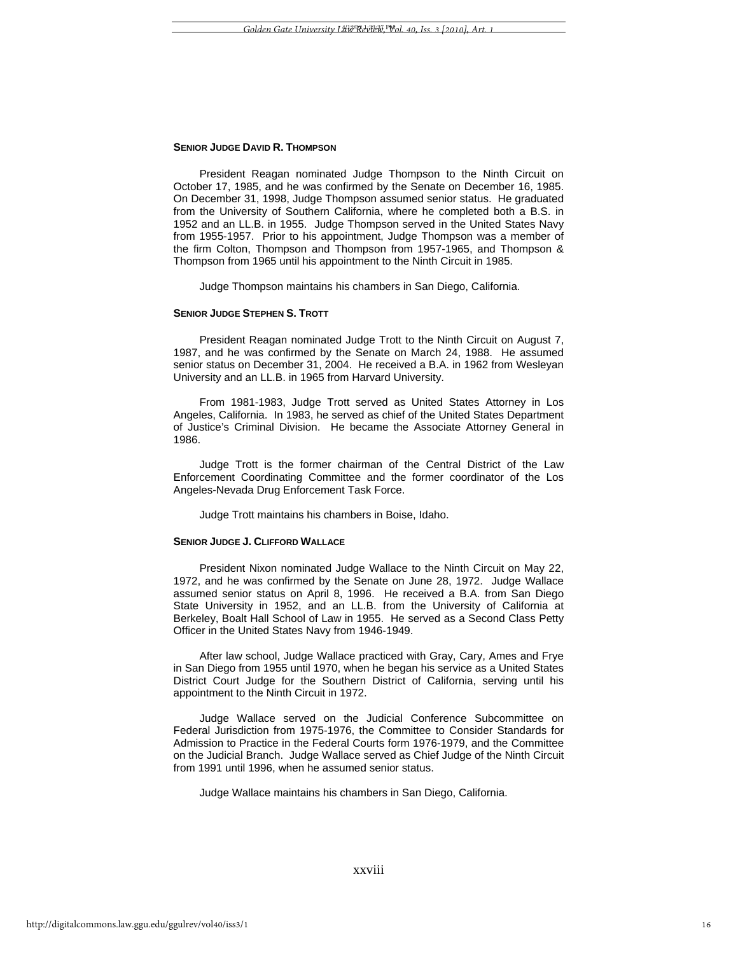#### **SENIOR JUDGE DAVID R. THOMPSON**

President Reagan nominated Judge Thompson to the Ninth Circuit on October 17, 1985, and he was confirmed by the Senate on December 16, 1985. On December 31, 1998, Judge Thompson assumed senior status. He graduated from the University of Southern California, where he completed both a B.S. in 1952 and an LL.B. in 1955. Judge Thompson served in the United States Navy from 1955-1957. Prior to his appointment, Judge Thompson was a member of the firm Colton, Thompson and Thompson from 1957-1965, and Thompson & Thompson from 1965 until his appointment to the Ninth Circuit in 1985.

Judge Thompson maintains his chambers in San Diego, California.

# **SENIOR JUDGE STEPHEN S. TROTT**

President Reagan nominated Judge Trott to the Ninth Circuit on August 7, 1987, and he was confirmed by the Senate on March 24, 1988. He assumed senior status on December 31, 2004. He received a B.A. in 1962 from Wesleyan University and an LL.B. in 1965 from Harvard University.

From 1981-1983, Judge Trott served as United States Attorney in Los Angeles, California. In 1983, he served as chief of the United States Department of Justice's Criminal Division. He became the Associate Attorney General in 1986.

Judge Trott is the former chairman of the Central District of the Law Enforcement Coordinating Committee and the former coordinator of the Los Angeles-Nevada Drug Enforcement Task Force.

Judge Trott maintains his chambers in Boise, Idaho.

# **SENIOR JUDGE J. CLIFFORD WALLACE**

President Nixon nominated Judge Wallace to the Ninth Circuit on May 22, 1972, and he was confirmed by the Senate on June 28, 1972. Judge Wallace assumed senior status on April 8, 1996. He received a B.A. from San Diego State University in 1952, and an LL.B. from the University of California at Berkeley, Boalt Hall School of Law in 1955. He served as a Second Class Petty Officer in the United States Navy from 1946-1949.

After law school, Judge Wallace practiced with Gray, Cary, Ames and Frye in San Diego from 1955 until 1970, when he began his service as a United States District Court Judge for the Southern District of California, serving until his appointment to the Ninth Circuit in 1972.

Judge Wallace served on the Judicial Conference Subcommittee on Federal Jurisdiction from 1975-1976, the Committee to Consider Standards for Admission to Practice in the Federal Courts form 1976-1979, and the Committee on the Judicial Branch. Judge Wallace served as Chief Judge of the Ninth Circuit from 1991 until 1996, when he assumed senior status.

Judge Wallace maintains his chambers in San Diego, California.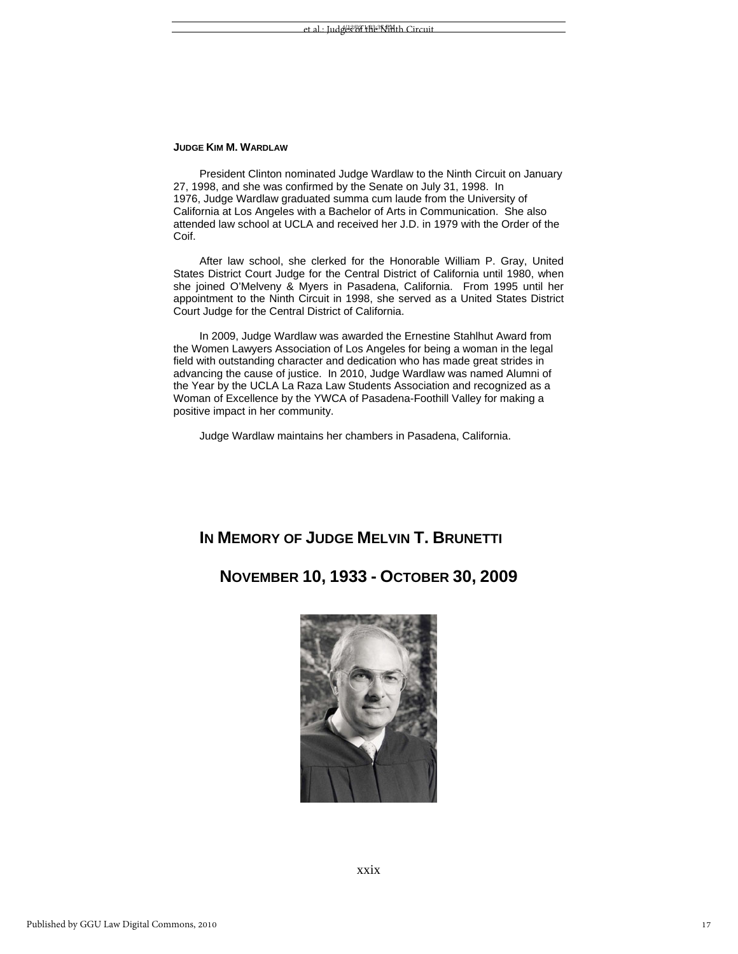# **JUDGE KIM M. WARDLAW**

President Clinton nominated Judge Wardlaw to the Ninth Circuit on January 27, 1998, and she was confirmed by the Senate on July 31, 1998. In 1976, Judge Wardlaw graduated summa cum laude from the University of California at Los Angeles with a Bachelor of Arts in Communication. She also attended law school at UCLA and received her J.D. in 1979 with the Order of the Coif.

After law school, she clerked for the Honorable William P. Gray, United States District Court Judge for the Central District of California until 1980, when she joined O'Melveny & Myers in Pasadena, California. From 1995 until her appointment to the Ninth Circuit in 1998, she served as a United States District Court Judge for the Central District of California.

In 2009, Judge Wardlaw was awarded the Ernestine Stahlhut Award from the Women Lawyers Association of Los Angeles for being a woman in the legal field with outstanding character and dedication who has made great strides in advancing the cause of justice. In 2010, Judge Wardlaw was named Alumni of the Year by the UCLA La Raza Law Students Association and recognized as a Woman of Excellence by the YWCA of Pasadena-Foothill Valley for making a positive impact in her community.

Judge Wardlaw maintains her chambers in Pasadena, California.

# **IN MEMORY OF JUDGE MELVIN T. BRUNETTI**

# **NOVEMBER 10, 1933 - OCTOBER 30, 2009**